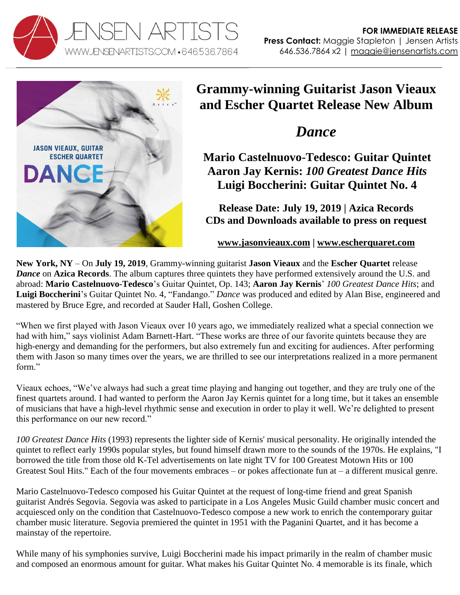



# **Grammy-winning Guitarist Jason Vieaux and Escher Quartet Release New Album**

# *Dance*

**Mario Castelnuovo-Tedesco: Guitar Quintet Aaron Jay Kernis:** *100 Greatest Dance Hits* **Luigi Boccherini: Guitar Quintet No. 4** 

**Release Date: July 19, 2019 | Azica Records CDs and Downloads available to press on request**

### **[www.jasonvieaux.com](http://www.jasonvieaux.com/) | [www.escherquaret.com](http://www.escherquaret.com/)**

**New York, NY** – On **July 19, 2019**, Grammy-winning guitarist **Jason Vieaux** and the **Escher Quartet** release *Dance* on **Azica Records**. The album captures three quintets they have performed extensively around the U.S. and abroad: **Mario Castelnuovo-Tedesco**'s Guitar Quintet, Op. 143; **Aaron Jay Kernis**' *100 Greatest Dance Hits*; and **Luigi Boccherini**'s Guitar Quintet No. 4, "Fandango." *Dance* was produced and edited by Alan Bise, engineered and mastered by Bruce Egre, and recorded at Sauder Hall, Goshen College.

"When we first played with Jason Vieaux over 10 years ago, we immediately realized what a special connection we had with him," says violinist Adam Barnett-Hart. "These works are three of our favorite quintets because they are high-energy and demanding for the performers, but also extremely fun and exciting for audiences. After performing them with Jason so many times over the years, we are thrilled to see our interpretations realized in a more permanent form."

Vieaux echoes, "We've always had such a great time playing and hanging out together, and they are truly one of the finest quartets around. I had wanted to perform the Aaron Jay Kernis quintet for a long time, but it takes an ensemble of musicians that have a high-level rhythmic sense and execution in order to play it well. We're delighted to present this performance on our new record."

*100 Greatest Dance Hits* (1993) represents the lighter side of Kernis' musical personality. He originally intended the quintet to reflect early 1990s popular styles, but found himself drawn more to the sounds of the 1970s. He explains, "I borrowed the title from those old K-Tel advertisements on late night TV for 100 Greatest Motown Hits or 100 Greatest Soul Hits." Each of the four movements embraces – or pokes affectionate fun at – a different musical genre.

Mario Castelnuovo-Tedesco composed his Guitar Quintet at the request of long-time friend and great Spanish guitarist Andrés Segovia. Segovia was asked to participate in a Los Angeles Music Guild chamber music concert and acquiesced only on the condition that Castelnuovo-Tedesco compose a new work to enrich the contemporary guitar chamber music literature. Segovia premiered the quintet in 1951 with the Paganini Quartet, and it has become a mainstay of the repertoire.

While many of his symphonies survive, Luigi Boccherini made his impact primarily in the realm of chamber music and composed an enormous amount for guitar. What makes his Guitar Quintet No. 4 memorable is its finale, which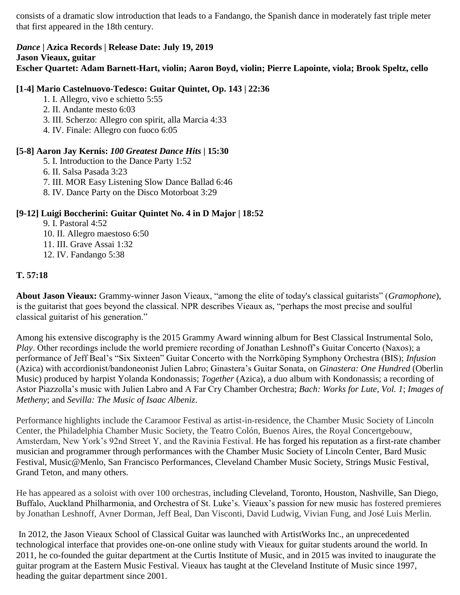consists of a dramatic slow introduction that leads to a Fandango, the Spanish dance in moderately fast triple meter that first appeared in the 18th century.

#### *Dance* **| Azica Records | Release Date: July 19, 2019 Jason Vieaux, guitar Escher Quartet: Adam Barnett-Hart, violin; Aaron Boyd, violin; Pierre Lapointe, viola; Brook Speltz, cello**

#### **[1-4] Mario Castelnuovo-Tedesco: Guitar Quintet, Op. 143 | 22:36**

- 1. I. Allegro, vivo e schietto 5:55
- 2. II. Andante mesto 6:03
- 3. III. Scherzo: Allegro con spirit, alla Marcia 4:33
- 4. IV. Finale: Allegro con fuoco 6:05

### **[5-8] Aaron Jay Kernis:** *100 Greatest Dance Hits* **| 15:30**

- 5. I. Introduction to the Dance Party 1:52
- 6. II. Salsa Pasada 3:23
- 7. III. MOR Easy Listening Slow Dance Ballad 6:46
- 8. IV. Dance Party on the Disco Motorboat 3:29

## **[9-12] Luigi Boccherini: Guitar Quintet No. 4 in D Major | 18:52**

- 9. I. Pastoral 4:52
- 10. II. Allegro maestoso 6:50
- 11. III. Grave Assai 1:32
- 12. IV. Fandango 5:38

## **T. 57:18**

**About Jason Vieaux:** Grammy-winner Jason Vieaux, "among the elite of today's classical guitarists" (*Gramophone*), is the guitarist that goes beyond the classical. NPR describes Vieaux as, "perhaps the most precise and soulful classical guitarist of his generation."

Among his extensive discography is the 2015 Grammy Award winning album for Best Classical Instrumental Solo, *Play*. Other recordings include the world premiere recording of Jonathan Leshnoff's Guitar Concerto (Naxos); a performance of Jeff Beal's "Six Sixteen" Guitar Concerto with the Norrköping Symphony Orchestra (BIS); *Infusion* (Azica) with accordionist/bandoneonist Julien Labro; Ginastera's Guitar Sonata, on *Ginastera: One Hundred* (Oberlin Music) produced by harpist Yolanda Kondonassis; *Together* (Azica), a duo album with Kondonassis; a recording of Astor Piazzolla's music with Julien Labro and A Far Cry Chamber Orchestra; *Bach: Works for Lute, Vol. 1*; *Images of Metheny*; and *Sevilla: The Music of Isaac Albeniz*.

Performance highlights include the Caramoor Festival as artist-in-residence, the Chamber Music Society of Lincoln Center, the Philadelphia Chamber Music Society, the Teatro Colón, Buenos Aires, the Royal Concertgebouw, Amsterdam, New York's 92nd Street Y, and the Ravinia Festival. He has forged his reputation as a first-rate chamber musician and programmer through performances with the Chamber Music Society of Lincoln Center, Bard Music Festival, Music@Menlo, San Francisco Performances, Cleveland Chamber Music Society, Strings Music Festival, Grand Teton, and many others.

He has appeared as a soloist with over 100 orchestras, including Cleveland, Toronto, Houston, Nashville, San Diego, Buffalo, Auckland Philharmonia, and Orchestra of St. Luke's. Vieaux's passion for new music has fostered premieres by Jonathan Leshnoff, Avner Dorman, Jeff Beal, Dan Visconti, David Ludwig, Vivian Fung, and José Luis Merlin.

In 2012, the Jason Vieaux School of Classical Guitar was launched with ArtistWorks Inc., an unprecedented technological interface that provides one-on-one online study with Vieaux for guitar students around the world. In 2011, he co-founded the guitar department at the Curtis Institute of Music, and in 2015 was invited to inaugurate the guitar program at the Eastern Music Festival. Vieaux has taught at the Cleveland Institute of Music since 1997, heading the guitar department since 2001.